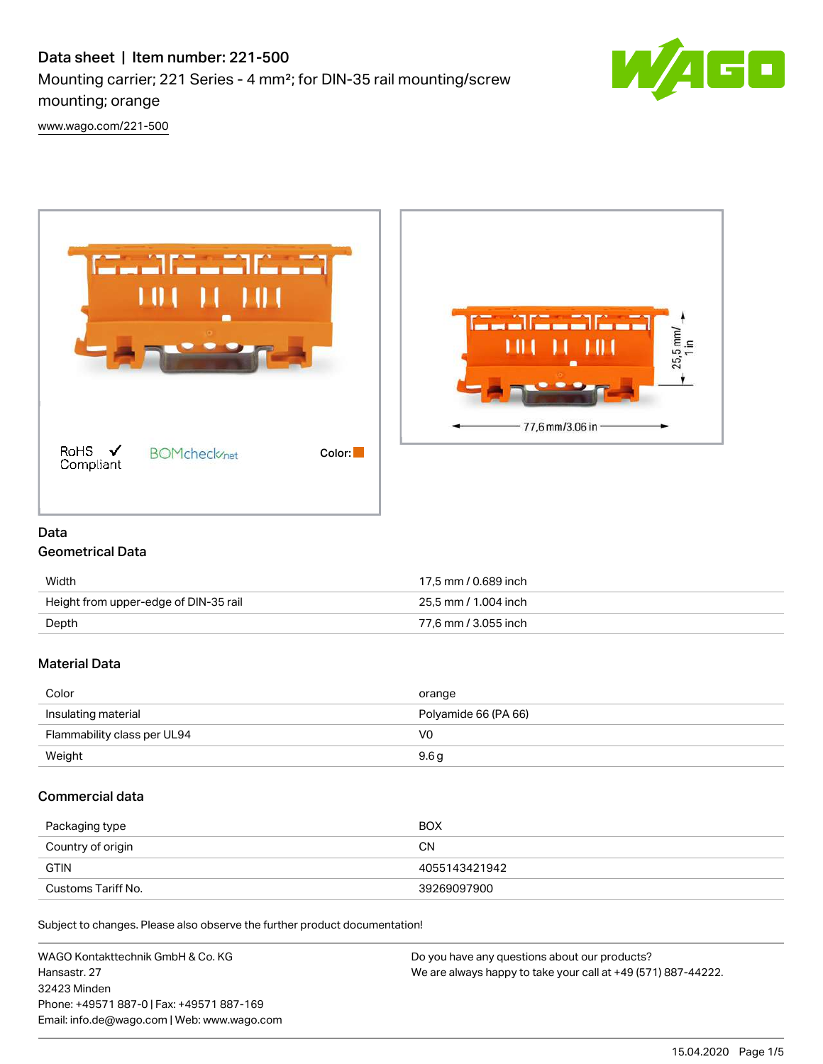# Data sheet | Item number: 221-500 Mounting carrier; 221 Series - 4 mm²; for DIN-35 rail mounting/screw mounting; orange



[www.wago.com/221-500](http://www.wago.com/221-500)



## Data

## Geometrical Data

| Width                                 | 17.5 mm / 0.689 inch |
|---------------------------------------|----------------------|
| Height from upper-edge of DIN-35 rail | 25.5 mm / 1.004 inch |
| Depth                                 | 77.6 mm / 3.055 inch |

### Material Data

| Color                       | orange               |
|-----------------------------|----------------------|
| Insulating material         | Polyamide 66 (PA 66) |
| Flammability class per UL94 | V0                   |
| Weight                      | 9.6g                 |

### Commercial data

| Packaging type     | <b>BOX</b>    |
|--------------------|---------------|
| Country of origin  | CΝ            |
| <b>GTIN</b>        | 4055143421942 |
| Customs Tariff No. | 39269097900   |

Subject to changes. Please also observe the further product documentation!

WAGO Kontakttechnik GmbH & Co. KG Hansastr. 27 32423 Minden Phone: +49571 887-0 | Fax: +49571 887-169 Email: info.de@wago.com | Web: www.wago.com Do you have any questions about our products? We are always happy to take your call at +49 (571) 887-44222.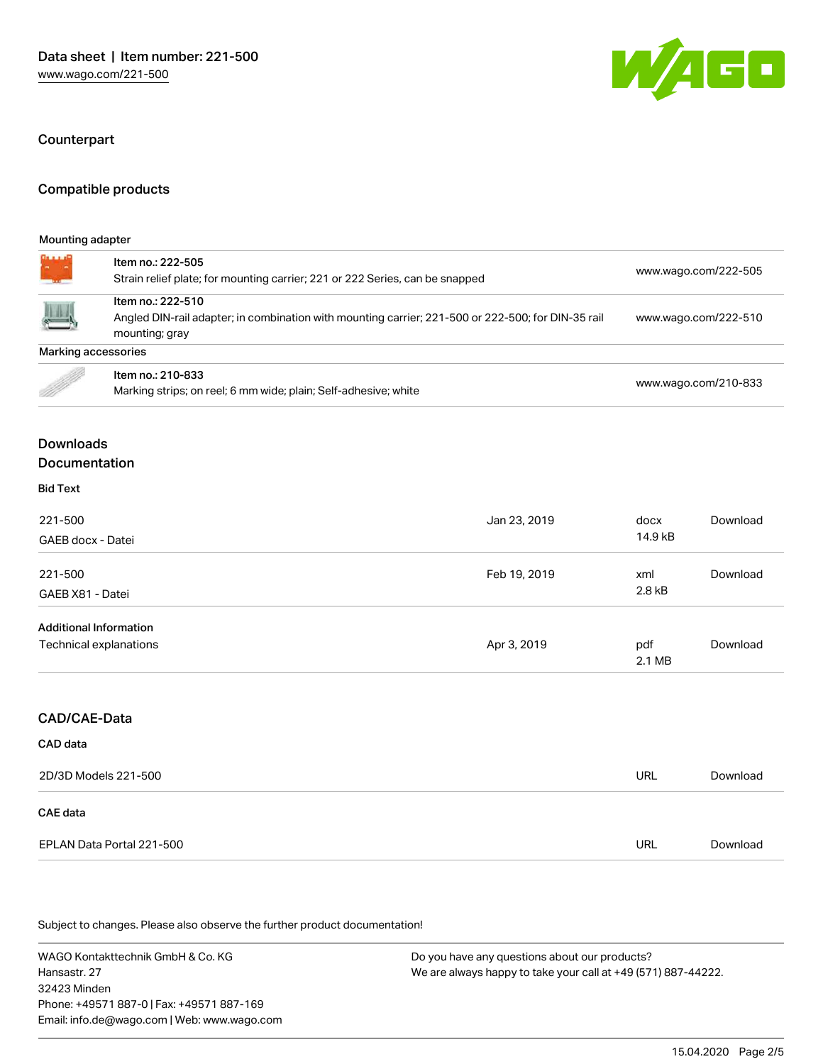

#### Counterpart

## Compatible products

#### Mounting adapter

*<u>SAAAAA</u>* 

| <b><u>André de l</u>i</b>     | Item no.: 222-505<br>Strain relief plate; for mounting carrier; 221 or 222 Series, can be snapped                                         |              | www.wago.com/222-505 |          |  |
|-------------------------------|-------------------------------------------------------------------------------------------------------------------------------------------|--------------|----------------------|----------|--|
|                               | Item no.: 222-510<br>Angled DIN-rail adapter; in combination with mounting carrier; 221-500 or 222-500; for DIN-35 rail<br>mounting; gray |              | www.wago.com/222-510 |          |  |
| Marking accessories           |                                                                                                                                           |              |                      |          |  |
|                               | Item no.: 210-833<br>Marking strips; on reel; 6 mm wide; plain; Self-adhesive; white                                                      |              | www.wago.com/210-833 |          |  |
| <b>Downloads</b>              |                                                                                                                                           |              |                      |          |  |
| Documentation                 |                                                                                                                                           |              |                      |          |  |
| <b>Bid Text</b>               |                                                                                                                                           |              |                      |          |  |
| 221-500<br>GAEB docx - Datei  |                                                                                                                                           | Jan 23, 2019 | docx<br>14.9 kB      | Download |  |
| 221-500<br>GAEB X81 - Datei   |                                                                                                                                           | Feb 19, 2019 | xml<br>2.8 kB        | Download |  |
| <b>Additional Information</b> | Technical explanations                                                                                                                    | Apr 3, 2019  | pdf<br>2.1 MB        | Download |  |
| CAD/CAE-Data<br>CAD data      |                                                                                                                                           |              |                      |          |  |

| 2D/3D Models 221-500      | URL | Download |
|---------------------------|-----|----------|
| CAE data                  |     |          |
| EPLAN Data Portal 221-500 | URL | Download |

Subject to changes. Please also observe the further product documentation!

WAGO Kontakttechnik GmbH & Co. KG Hansastr. 27 32423 Minden Phone: +49571 887-0 | Fax: +49571 887-169 Email: info.de@wago.com | Web: www.wago.com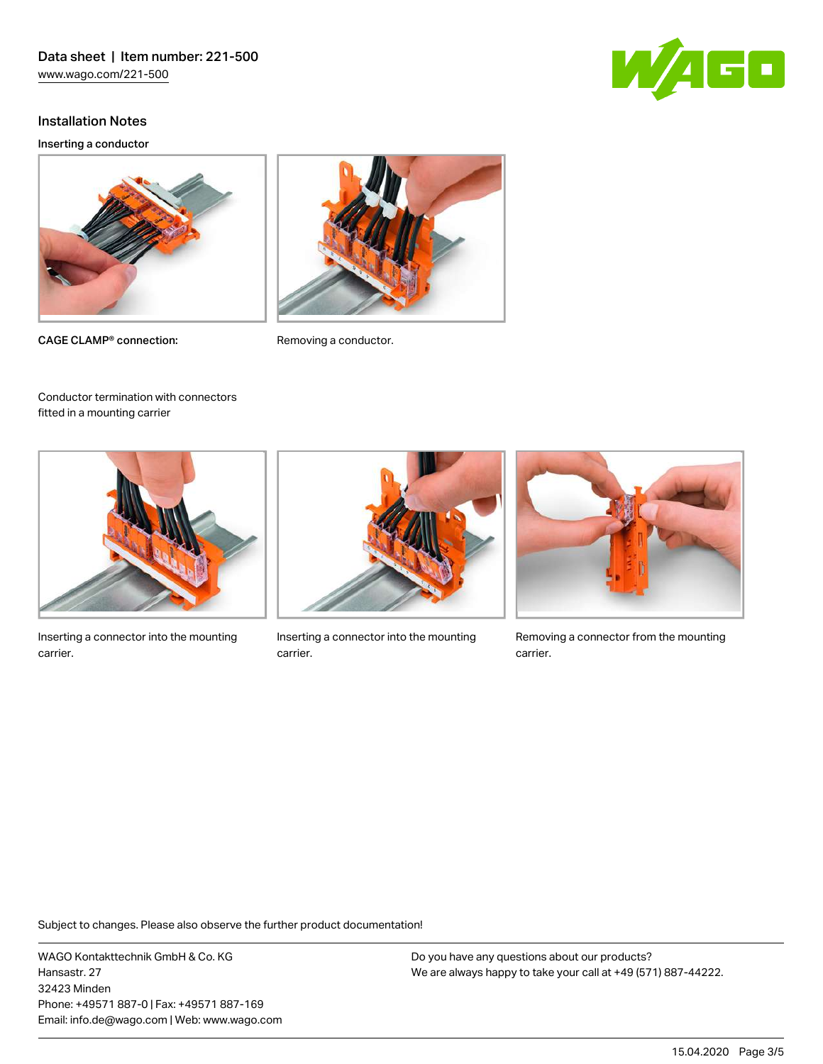

Inserting a conductor



CAGE CLAMP<sup>®</sup> connection: Removing a conductor.

fitted in a mounting carrier





Conductor termination with connectors

Inserting a connector into the mounting carrier.



Inserting a connector into the mounting carrier.



Removing a connector from the mounting carrier.

Subject to changes. Please also observe the further product documentation!

WAGO Kontakttechnik GmbH & Co. KG Hansastr. 27 32423 Minden Phone: +49571 887-0 | Fax: +49571 887-169 Email: info.de@wago.com | Web: www.wago.com

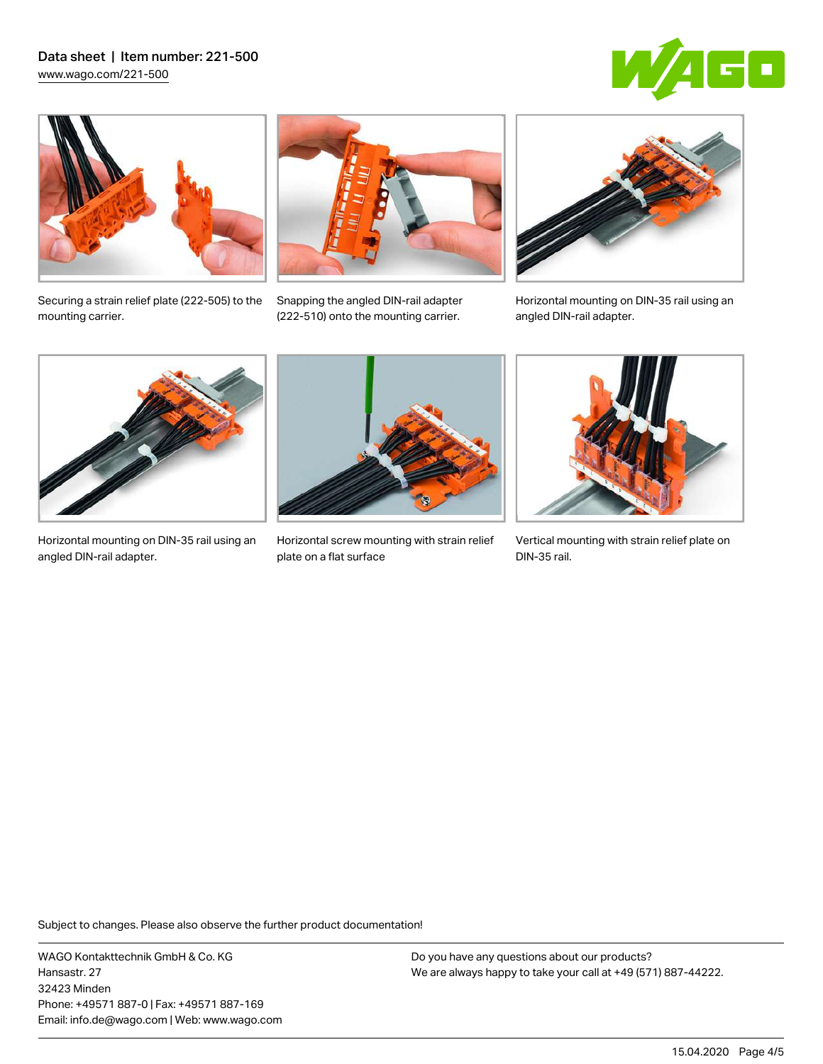



Securing a strain relief plate (222‑505) to the mounting carrier.



Snapping the angled DIN-rail adapter (222‑510) onto the mounting carrier.



Horizontal mounting on DIN-35 rail using an angled DIN-rail adapter.



Horizontal mounting on DIN-35 rail using an angled DIN-rail adapter.



Horizontal screw mounting with strain relief plate on a flat surface



Vertical mounting with strain relief plate on DIN-35 rail.

Subject to changes. Please also observe the further product documentation!

WAGO Kontakttechnik GmbH & Co. KG Hansastr. 27 32423 Minden Phone: +49571 887-0 | Fax: +49571 887-169 Email: info.de@wago.com | Web: www.wago.com